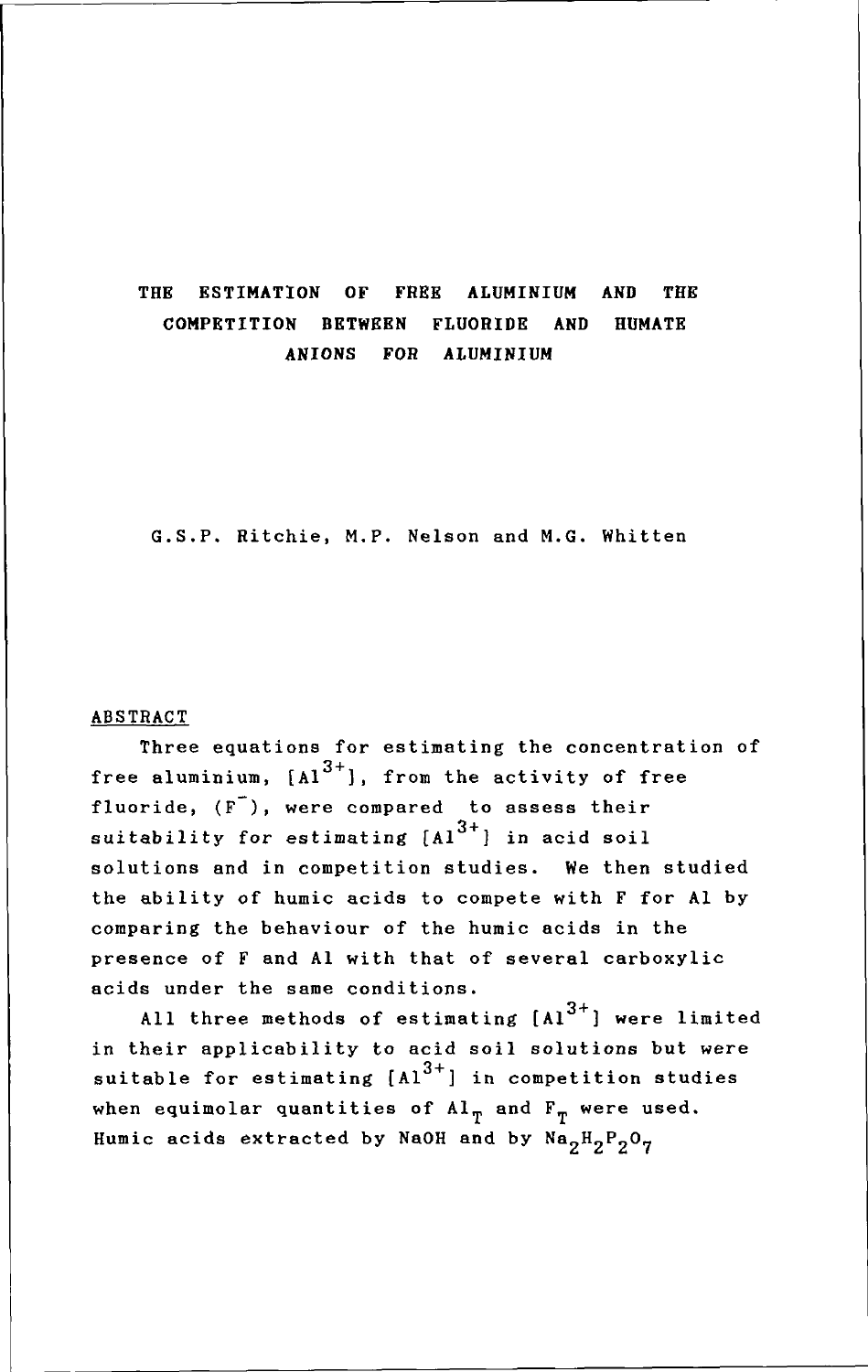# THE ESTIMATION OF FREE ALUMINIUM AND THE COMPETITION BETWEEN FLUORIDE AND HUMATE ANIONS FOR ALUMINIUM

G.S.P. Ritchie, M.P. Nelson and M.G. Whitten

#### ABSTRACT

Three equations for estimating the concentration of free aluminium,  $[A]^{3+}$ ], from the activity of free fluoride,  $(F^{-})$ , were compared to assess their suitability for estimating  $\left\lceil 4l\right\rceil ^{3+}$  in acid soil solutions and in competition studies. We then studied the ability of humic acids to compete with F for Al by comparing the behaviour of the humic acids in the presence of F and Al with that of several carboxylic acids under the same conditions.

All three methods of estimating  $[A]^{3+}$ ] were limited in their applicability to acid soil solutions but were suitable for estimating  $[A1^{3+}]$  in competition studies when equimolar quantities of  $\text{Al}_{\text{T}}$  and  $\text{F}_{\text{T}}$  were used. Humic acids extracted by NaOH and by  $Na_2H_2P_2O_7$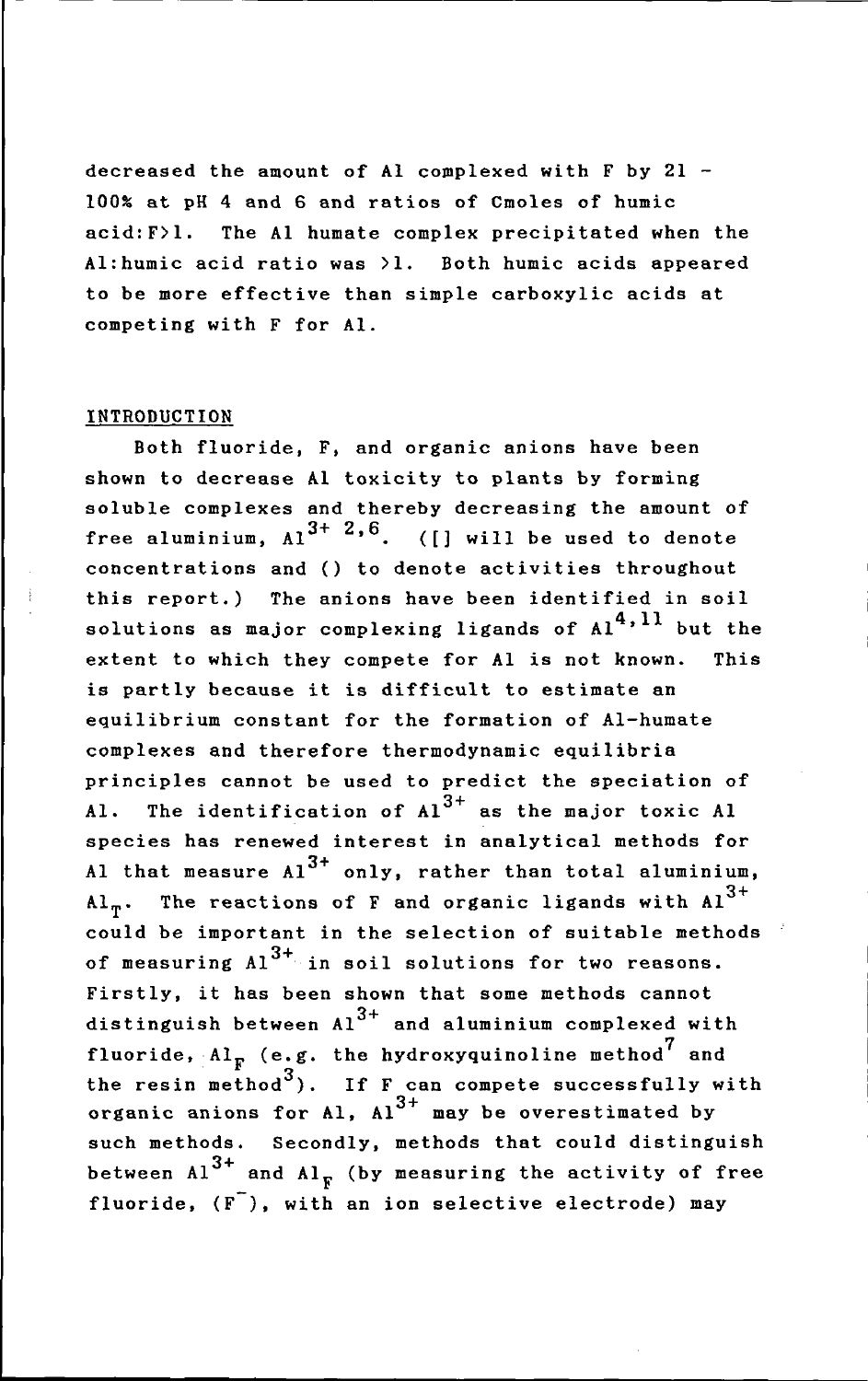decreased the amount of Al complexed with  $F$  by  $21 -$ 100% at pH 4 and 6 and ratios of Cmoles of humic acid:F>l. The Al humate complex precipitated when the Al:humic acid ratio was >1. Both humic acids appeared to be more effective than simple carboxylic acids at competing with F for AI.

### INTRODUCTION

Both fluoride, F, and organic anions have been shown to decrease Al toxicity to plants by forming soluble complexes and thereby decreasing the amount of free aluminium,  $Al^{3+2,6}$ . ([] will be used to denote concentrations and () to denote activities throughout this report.) The anions have been identified in soil solutions as major complexing ligands of  $Al<sup>4,11</sup>$  but the extent to which they compete for Al is not known. This is partly because it is difficult to estimate an equilibrium constant for the formation of AI-humate complexes and therefore thermodynamic equilibria principles cannot be used to predict the speciation of Al. The identification of  $A1^{3+}$  as the major toxic Al species has renewed interest in analytical methods for Al that measure  $A1^{3+}$  only, rather than total aluminium, Al<sub>m</sub>. The reactions of F and organic ligands with  $Al<sup>3+</sup>$ could be important in the selection of suitable methods<br>of measuring Al<sup>3+</sup> in soil solutions for two reasons. Firstly, it has been shown that some methods cannot distinguish between  $A1^{3+}$  and aluminium complexed with fluoride, Al $_{\mathrm{F}}$  (e.g. the hydroxyquinoline method and of measuring  $Al^{3+}$  in soil solutions for two reasons. the resin method<sup>3</sup>). If  $F_{\text{can}}$  compete successfully with organic anions for Al,  $\text{Al}^{3+}$  may be overestimated by such methods. Secondly, methods that could distinguish between  $Al^{3+}$  and  $Al_{\mathcal{F}}$  (by measuring the activity of free fluoride,  $(F^{-})$ , with an ion selective electrode) may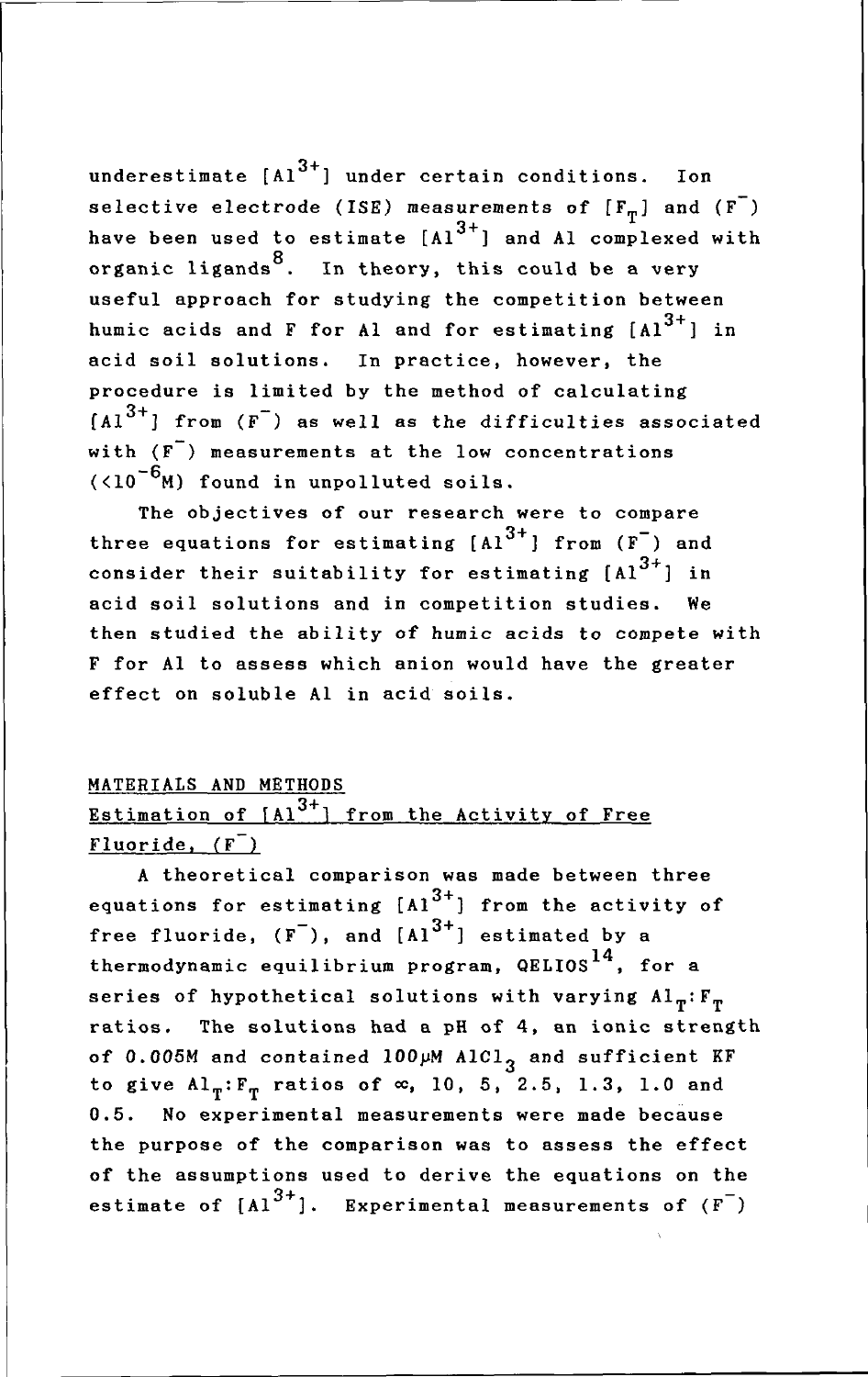underestimate  $[A1^{3+}]$  under certain conditions. Ion selective electrode (ISE) measurements of  $[F_{\pi}]$  and  $(F^{-})$ have been used to estimate  $[A1^{3+}]$  and Al complexed with organic ligands<sup>8</sup>. In theory, this could be a very useful approach for studying the competition between humic acids and F for Al and for estimating  $[A1]^{3+}$  in acid soil solutions. In practice, however, the procedure is limited by the method of calculating  $[A]^{3+}$ ] from  $(F^-)$  as well as the difficulties associated with  $(F^{\top})$  measurements at the low concentrations  $(10^{-6}$ M) found in unpolluted soils.

The objectives of our research were to compare three equations for estimating  $[A1^{3+}]$  from  $(F^-)$  and consider their suitability for estimating  $[A]^{3+}$  in acid soil solutions and in competition studies. We then studied the ability of humic acids to compete with F for Al to assess which anion would have the greater effect on soluble Al in acid soils.

## MATERIALS AND METHODS

# Estimation of  $[A]^{3+}$  from the Activity of Free Fluoride,  $(F^{-})$

A theoretical comparison was made between three equations for estimating  $[A]^{3+}$ ] from the activity of free fluoride,  $(F^{-})$ , and  $[A]^{3+}$ ] estimated by a thermodynamic equilibrium program,  $QELIOS$ <sup>14</sup>, for a series of hypothetical solutions with varying  $Al_{\pi}:F_{\pi}$ ratios. The solutions had a pH of 4, an ionic strength of 0.005M and contained  $100~\mu$ M AlCl<sub>3</sub> and sufficient KF to give  $AI_T: F_T$  ratios of  $\infty$ , 10, 5, 2.5, 1.3, 1.0 and 0.5. No experimental measurements were made because the purpose of the comparison was to assess the effect of the assumptions used to derive the equations on the estimate of  $[A1^{3+}]$ . Experimental measurements of  $(F^-)$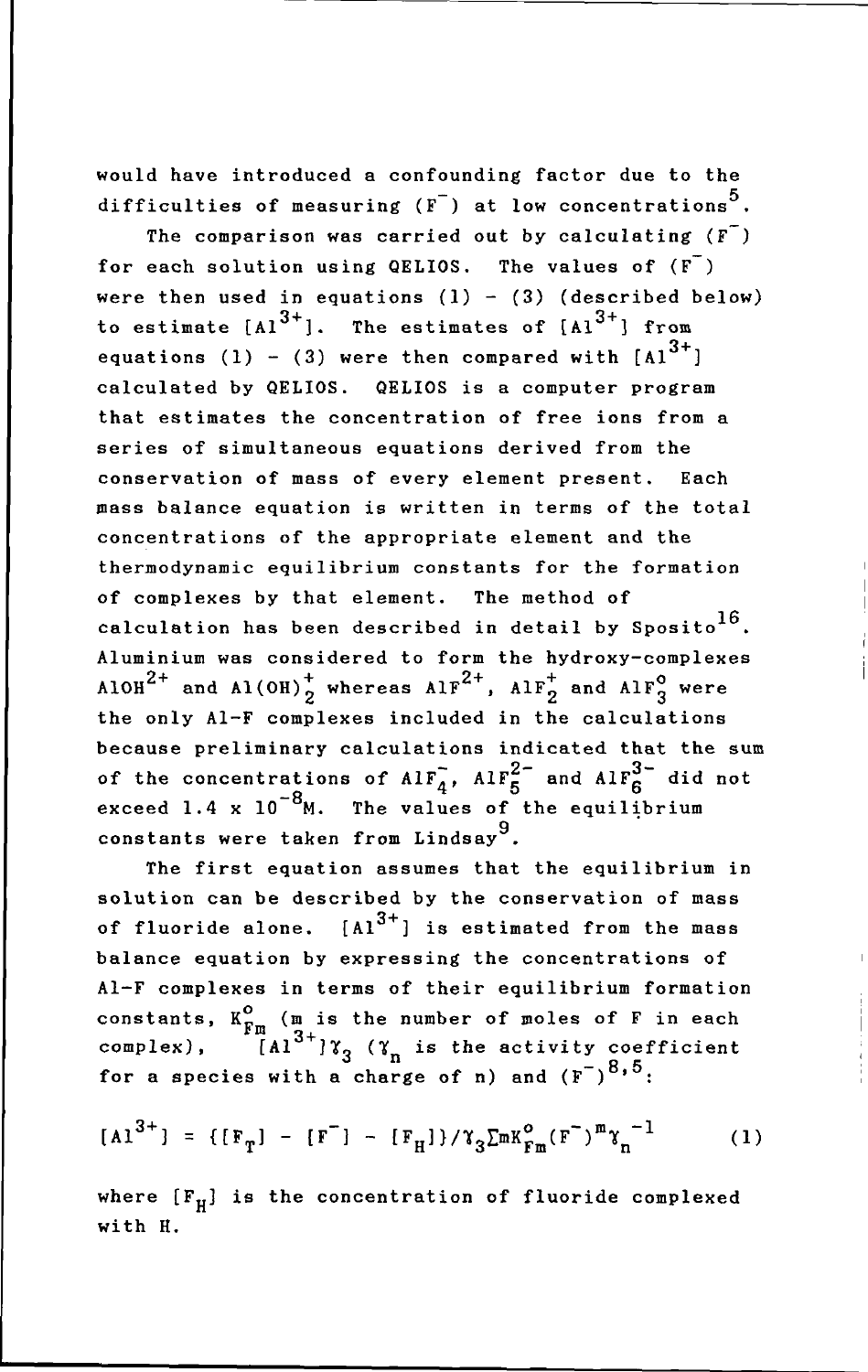would have introduced a confounding factor due to the difficulties of measuring  $(F^-)$  at low concentrations<sup>5</sup>.

The comparison was carried out by calculating  $(F<sup>T</sup>)$ for each solution using QELIOS. The values of  $(F<sup>-</sup>)$ were then used in equations  $(1) - (3)$  (described below) to estimate  $[A1^{3+}]$ . The estimates of  $[A1^{3+}]$  from equations (1) - (3) were then compared with  $[A1^{3+}]$ calculated by QELIOS. QELIOS is a computer program that estimates the concentration of free ions from a series of simultaneous equations derived from the conservation of mass of every element present. Each mass balance equation is written in terms of the total concentrations of the appropriate element and the thermodynamic equilibrium constants for the formation of complexes by that element. The method of calculation has been described in detail by Sposito<sup>16</sup>. Aluminium was considered to form the hydroxy-complexes AlOH<sup>2+</sup> and Al(OH)<sup>+</sup><sub>2</sub> whereas AlF<sup>2+</sup>, AlF<sub>2</sub><sup>+</sup> and AlF<sub>3</sub><sup>o</sup> were the only AI-F complexes included in the calculations because preliminary calculations indicated that the sum of the concentrations of  $\text{AIF}_{4}^{7}$ ,  $\text{AIF}_{5}^{2-}$  and  $\text{AIF}_{6}^{3-}$  did not exceed 1.4 x  $10^{-8}$ M. The values of the equilibrium constants were taken from Lindsay<sup>9</sup>.

The first equation assumes that the equilibrium in solution can be described by the conservation of mass of fluoride alone.  $[A1^{3+}]$  is estimated from the mass balance equation by expressing the concentrations of AI-F complexes in terms of their equilibrium formation constants,  $K_{\mathbf{F}\mathbf{m}}^{\mathbf{O}}$  ( $\mathbf{m}$  is the number of moles of F in each complex),  $[A1^{3+}]\gamma_3$  ( $\gamma_n$  is the activity coefficient for a species with a charge of n) and  $(F^{-})^{8,5}$ :

$$
[A1^{3+}] = \{ [F_T] - [F^-] - [F_H] \} / \gamma_3 \Sigma m K_{Fm}^{\circ} (F^-)^m \gamma_n^{-1}
$$
 (1)

where  $[F_H]$  is the concentration of fluoride complexed with H.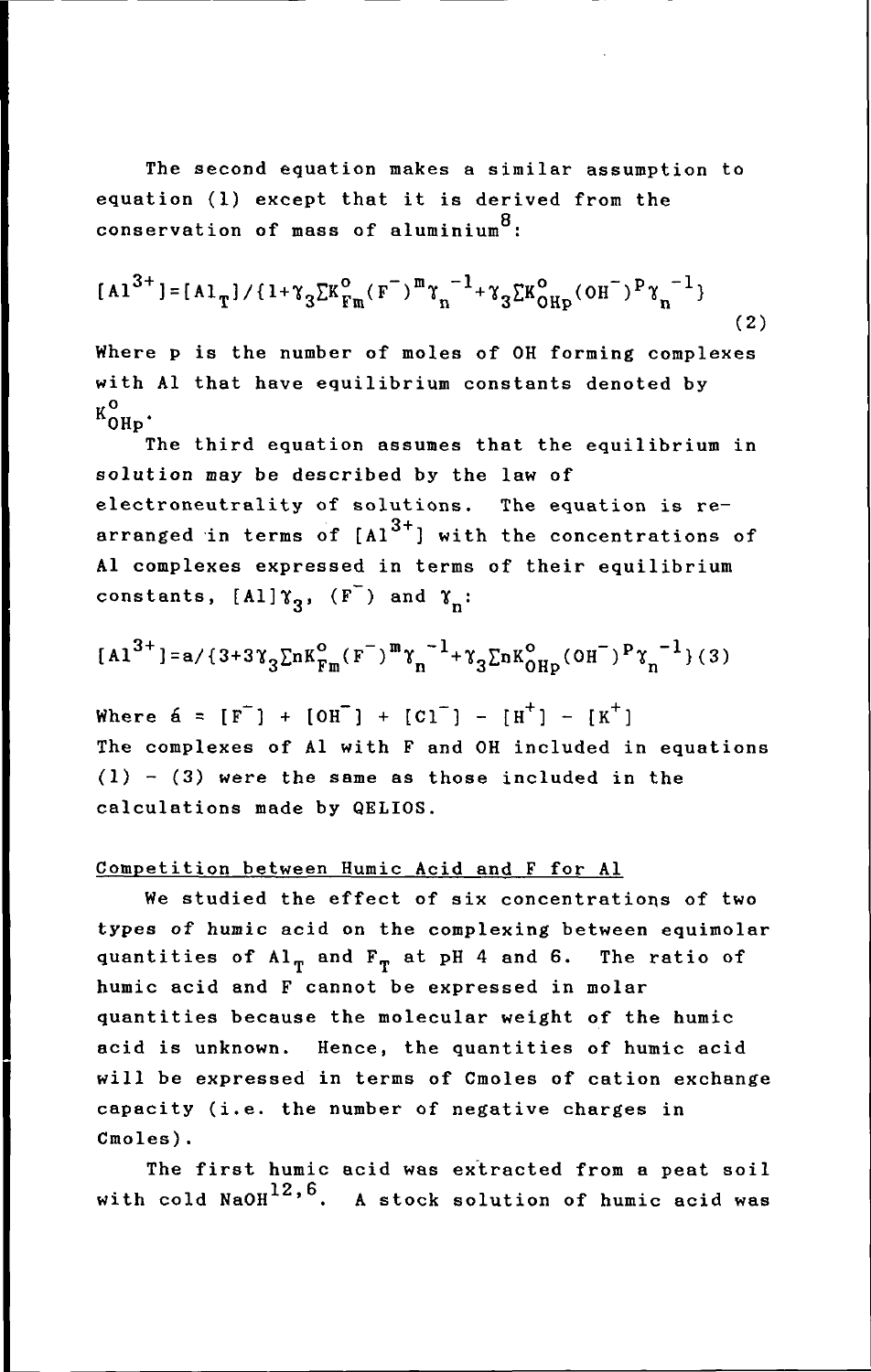The second equation makes a similar assumption to equation (1) except that it is derived from the conservation of mass of aluminium $8$ :

$$
[A1^{3+}] = [A1_{T}] / \{1 + \gamma_{3} \Sigma K_{Fm}^{o}(\mathbf{F}^{-})^m \gamma_{n}^{-1} + \gamma_{3} \Sigma K_{OHP}^{o}(\mathbf{OH}^{-})^p \gamma_{n}^{-1}\}
$$
(2)

Where p is the number of moles of OH forming complexes with Al that have equilibrium constants denoted by ко<br>ОН<sub>Р</sub>

The third equation assumes that the equilibrium in solution may be described by the law of electroneutrality of solutions. The equation is rearranged in terms of  $[A1^{3+}]$  with the concentrations of Al complexes expressed in terms of their equilibrium constants,  $[A1]$  $\gamma_2$ ,  $(F^-)$  and  $\gamma_n$ :

$$
[A1^{3+}] = a / \{3 + 3\gamma_3 \Sigma n K_{Fm}^{\circ} (F^{-})^m \gamma_n^{-1} + \gamma_3 \Sigma n K_{OHp}^{\circ} (OH^{-})^p \gamma_n^{-1}\} (3)
$$

Where  $\acute{a} = [F^{-}] + [OH^{-}] + [Cl^{-}] - [H^{+}] - [K^{+}]$ The complexes of Al with F and OH included in equations  $(1)$  -  $(3)$  were the same as those included in the calculations made by QELIOS.

## Competition between Humic Acid and F for Al

We studied the effect of six concentrations of two types of humic acid on the complexing between equimolar quantities of  $Al_{\pi}$  and  $F_{\pi}$  at pH 4 and 6. The ratio of humic acid and F cannot be expressed in molar quantities because the molecular weight of the humic acid is unknown. Hence, the quantities of humic acid will be expressed in terms of Cmoles of cation exchange capacity (i.e. the number of negative charges in Cmoles).

The first humic acid was extracted from a peat soil with cold  $\texttt{NaOH}^{12,6}$ . A stock solution of humic acid was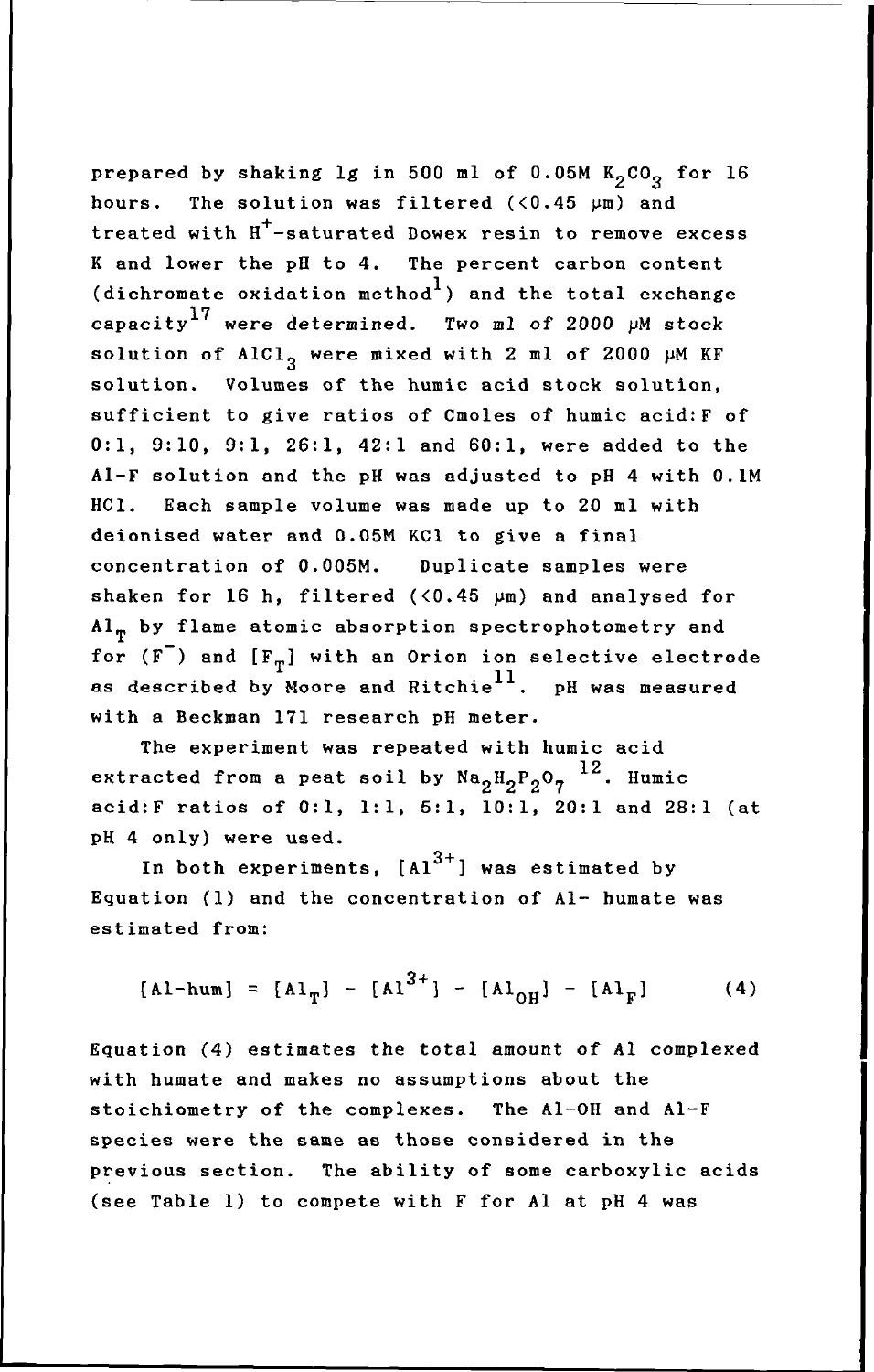prepared by shaking  $lg$  in 500 ml of 0.05M  $K_2CO_3$  for 16 hours. The solution was filtered  $($ <0.45  $\mu$ m) and treated with H+-saturated Dowex resin to remove excess K and lower the pH to 4. The percent carbon content (dichromate oxidation method<sup>1</sup>) and the total exchange capacity<sup>17</sup> were determined. Two ml of 2000  $\mu$ M stock solution of AlCl<sub>2</sub> were mixed with 2 ml of 2000  $\mu$ M KF solution. Volumes of the humic acid stock solution, sufficient to give ratios of Cmoles of humic acid:F of 0:1, 9:10, 9:1, 26:1, 42:1 and 60:1, were added to the AI-F solution and the pH was adjusted to pH 4 with O.lM HCl. Each sample volume was made up to 20 ml with deionised water and 0.05M KCl to give a final concentration of 0.005M. Duplicate samples were shaken for 16 h, filtered  $($ <0.45  $\mu$ m) and analysed for  ${\tt Al}_{\tt T}$  by flame atomic absorption spectrophotometry and for ( $F^-$ ) and  $[F_T]$  with an Orion ion selective electrode as described by Moore and Ritchie<sup>11</sup>. pH was measured with a Beckman 171 research pH meter.

The experiment was repeated with humic acid extracted from a peat soil by  $\texttt{Na}_{2} \texttt{H}_{2} \texttt{P}_{2} \texttt{O}_{7}$   $^{12}$ . Humic acid:F ratios of 0:1, 1:1, 5:1, 10:1, 20:1 and 28:1 (at pH 4 only) were used.

In both experiments,  $[A1^{3+}]$  was estimated by Equation (1) and the concentration of Al- humate was estimated from:

$$
[A1-hum] = [A1_{T}] - [A1^{3+}] - [A1_{OH}] - [A1_{F}]
$$
 (4)

Equation (4) estimates the total amount of Al complexed with humate and makes no assumptions about the stoichiometry of the complexes. The AI-OH and AI-F species were the same as those considered in the previous section. The ability of some carboxylic acids (see Table 1) to compete with F for Al at pH 4 was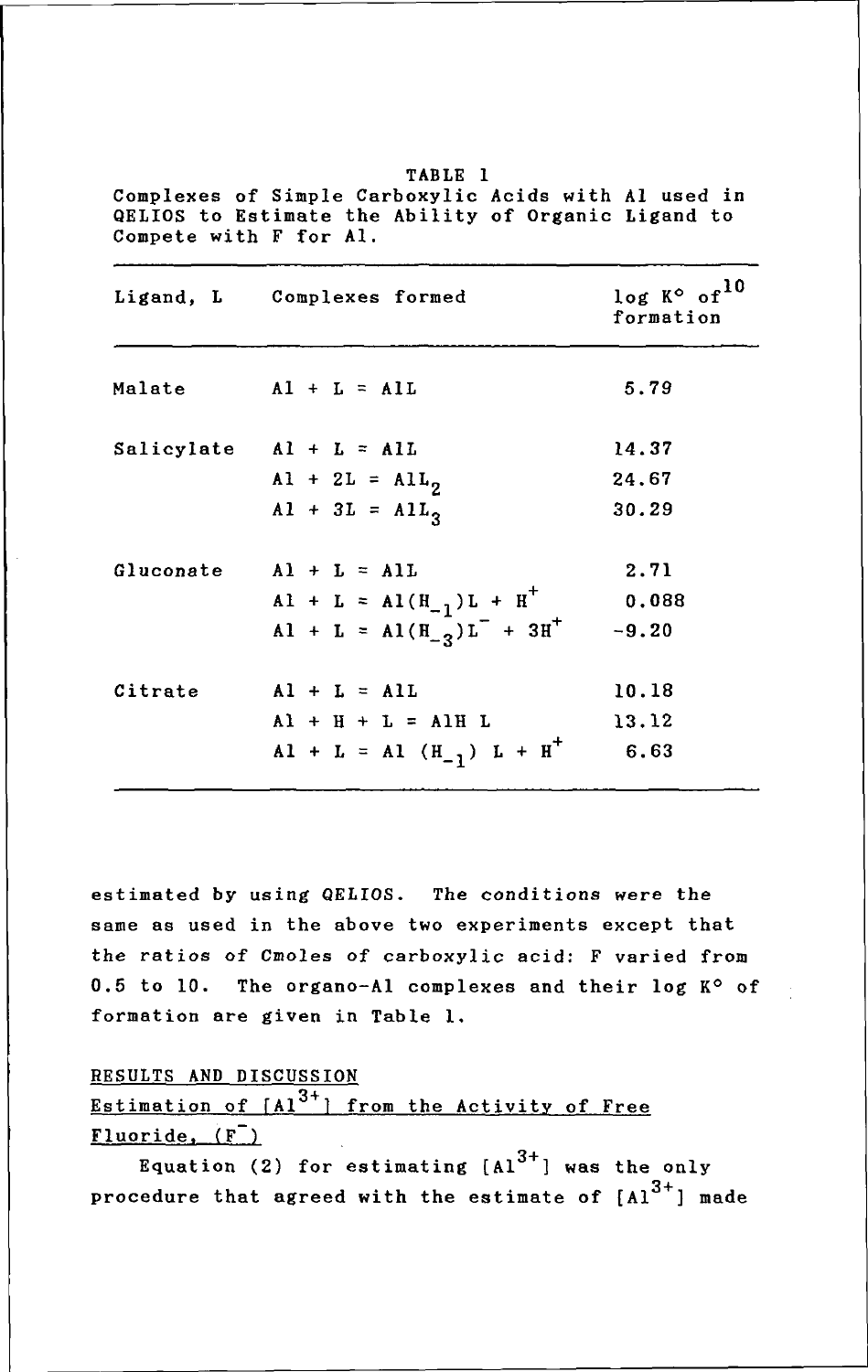|           | Ligand, L Complexes formed                                     | $log K^{\circ}$ of <sup>10</sup><br>formation |  |
|-----------|----------------------------------------------------------------|-----------------------------------------------|--|
| Malate    | $AI + L = AIL$                                                 | 5.79                                          |  |
|           | Salicylate $AI + L = All$                                      | 14.37                                         |  |
|           | $AI + 2L = All_2$                                              | 24.67                                         |  |
|           | $A1 + 3L = A1L_3$                                              | 30.29                                         |  |
| Gluconate | $A1 + L = A1L$                                                 | 2.71                                          |  |
|           | $A1 + L = A1(H_{-1})L + H^{+}$                                 | 0.088                                         |  |
|           | Al + L = Al( $H_{-2}$ ) L <sup>-</sup> + 3H <sup>+</sup> -9.20 |                                               |  |
| Citrate   | $A1 + L = A1L$                                                 | 10.18                                         |  |
|           | $A1 + H + L = A1H L$                                           | 13.12                                         |  |
|           | $A1 + L = A1 (H-1) L + H+$                                     | 6.63                                          |  |

TABLE 1 Complexes of Simple Carboxylic Acids with Al used in QELIOS to Estimate the Ability of Organic Ligand to Compete with F for AI.

estimated by using QELIOS. The conditions were the same as used in the above two experiments except that the ratios of Cmoles of carboxylic acid: F varied from 0.5 to 10. The organo-Al complexes and their log  $K^{\circ}$  of formation are given in Table 1.

RESULTS AND DISCUSSION

# Estimation of  $[A1^{3+}]$  from the Activity of Free  $Fluoride, (F)$

Equation (2) for estimating  $[A1^{3+}]$  was the only procedure that agreed with the estimate of  $[A]^{3+}$ ] made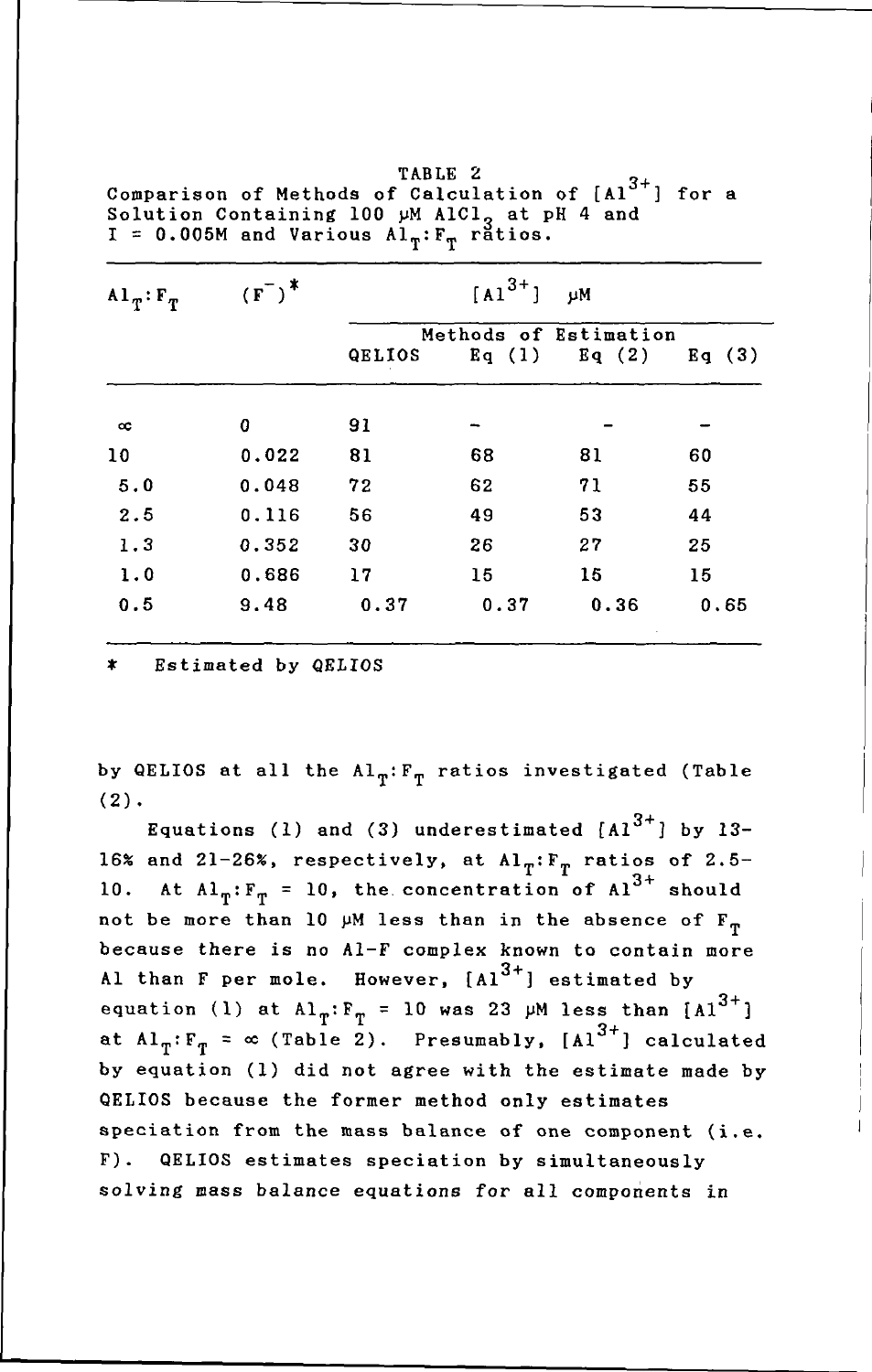| $A1_T$ : $F_T$ | $(F^{-})^*$ | $[A1^{3+}]$<br>μM     |       |       |       |
|----------------|-------------|-----------------------|-------|-------|-------|
|                |             | Methods of Estimation |       |       |       |
|                |             | QELIOS                | Eq(1) | Eq(2) | Eq(3) |
| $_{\rm cc}$    | 0           | 91                    |       |       |       |
| 10             | 0.022       | 81                    | 68    | 81    | 60    |
| 5.0            | 0.048       | 72                    | 62    | 71    | 55    |
| 2.5            | 0.116       | 56                    | 49    | 53    | 44    |
| 1.3            | 0.352       | 30                    | 26    | 27    | 25    |
| 1.0            | 0.686       | 17                    | 15    | 15    | 15    |
| 0.5            | 9.48        | 0.37                  | 0.37  | 0.36  | 0.65  |

TABLE 2<br>Comparison of Methods of Calculation of [Al<sup>3+</sup>] for a Solution Containing 100 µM AlCl<sub>3</sub> at pH 4 and<br>I = 0.005M and Various Al<sub>T</sub>:F<sub>T</sub> ratios.

\* Estimated by QELIOS

by QELIOS at all the  $Al_{\pi}:F_{\pi}$  ratios investigated (Table  $(2)$ .

Equations (1) and (3) underestimated  $[A1^{3+}]$  by 13-16% and 21-26%, respectively, at  $\text{Al}_T: \mathbb{F}_p$  ratios of 2.5-10. At  $Al_{T}:F_{T}$  = 10, the concentration of  $Al^{3+}$  should not be more than 10  $\mu$ M less than in the absence of  $F_{\pi}$ because there is no A1-F complex known to contain more Al than F per mole. However,  $[A1^{3+}]$  estimated by<br>equation (1) at  $A1_T: F_T = 10$  was 23 µM less than  $[A1^{3+}]$ at  $AI_T: F_T = \infty$  (Table 2). Presumably, [Al<sup>3+</sup>] calculated by equation (1) did not agree with the estimate made by QELIOS because the former method only estimates speciation from the mass balance of one component (i.e. F). QELIOS estimates speciation by simultaneously solving mass balance equations for all components in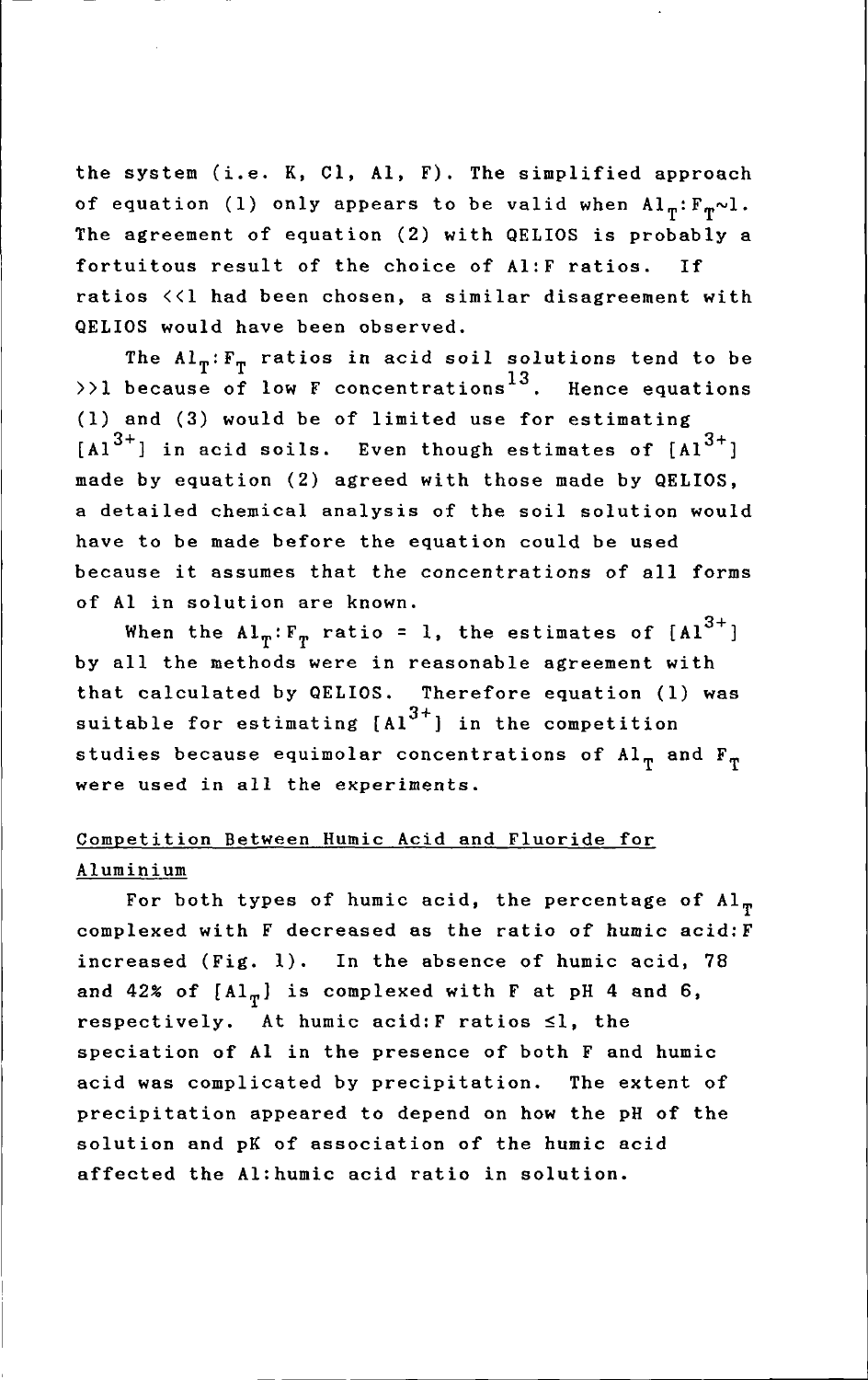the system (i.e. K, CI, AI, F). The simplified approach of equation (1) only appears to be valid when  $Al_{\pi}:F_{\pi}\sim l$ . The agreement of equation (2) with QELIOS is probably a fortuitous result of the choice of AI:F ratios. If ratios «1 had been chosen, a similar disagreement with QELIOS would have been observed.

The  $Al_T: F_T$  ratios in acid soil solutions tend to be  $\rightarrow$ ) because of low F concentrations  $^{13}$ . Hence equations (1) and (3) would be of limited use for estimating  $[A1^{3+}]$  in acid soils. Even though estimates of  $[A1^{3+}]$ made by equation (2) agreed with those made by QELIOS, a detailed chemical analysis of the soil solution would have to be made before the equation could be used because it assumes that the concentrations of all forms of Al in solution are known.

When the  $AI_T: F_T$  ratio = 1, the estimates of  $[A1^{3+}]$ by all the methods were in reasonable agreement with that calculated by QELIOS. Therefore equation (1) was suitable for estimating  $[A1^{3+}]$  in the competition studies because equimolar concentrations of  $Al_T$  and  $F_T$  were used in all the experiments.

# Competition Between Humic Acid and Fluoride for Aluminium

For both types of humic acid, the percentage of  $Al_{\pi}$ complexed with F decreased as the ratio of humic acid:F increased (Fig. 1). In the absence of humic acid, 78 and 42% of  $[A1_{\pi}]$  is complexed with F at pH 4 and 6, respectively. At humic acid:  $F$  ratios  $\leq l$ , the speciation of Al in the presence of both F and humic acid was complicated by precipitation. The extent of precipitation appeared to depend on how the pH of the solution and pK of association of the humic acid affected the AI:humic acid ratio in solution.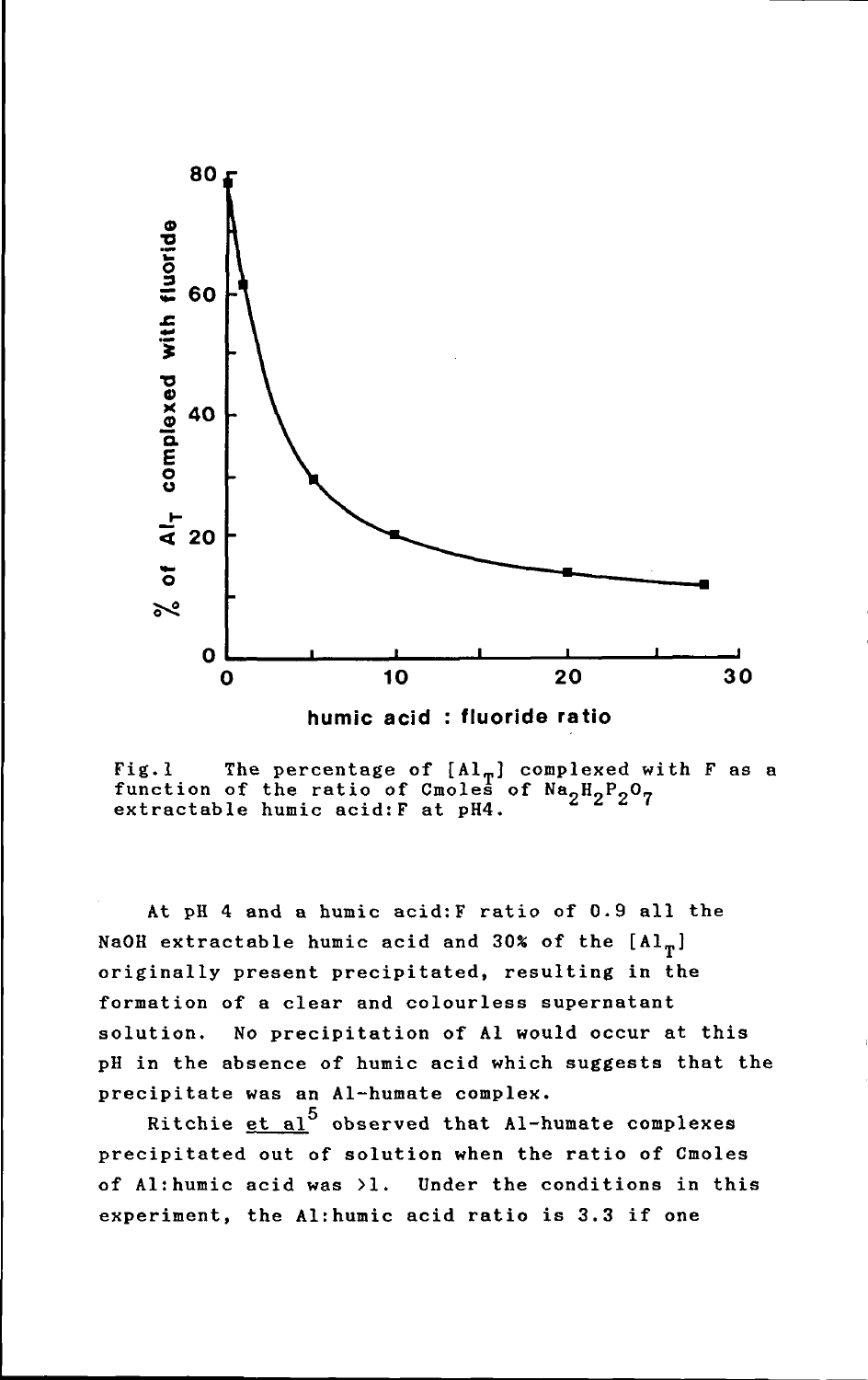



Fig.l The percentage of  $[Al_{\pi}]$  complexed with F as a function of the ratio of Cmoles of  $Na_{2}H_{2}P_{2}O_{7}$ extractable humic acid:F at pH4.

At pH 4 and a humic acid:F ratio of 0.9 all the NaOH extractable humic acid and 30% of the  $[A1_{\pi}]$ originally present precipitated, resulting in the formation of a clear and colourless supernatant solution. No precipitation of Al would occur at this pH in the absence of humic acid which suggests that the precipitate was an AI-humate complex.

Ritchie et al $^5$  observed that Al-humate complexes precipitated out of solution when the ratio of Cmoles of Al:humic acid was >1. Under the conditions in this experiment, the Al:humic acid ratio is 3.3 if one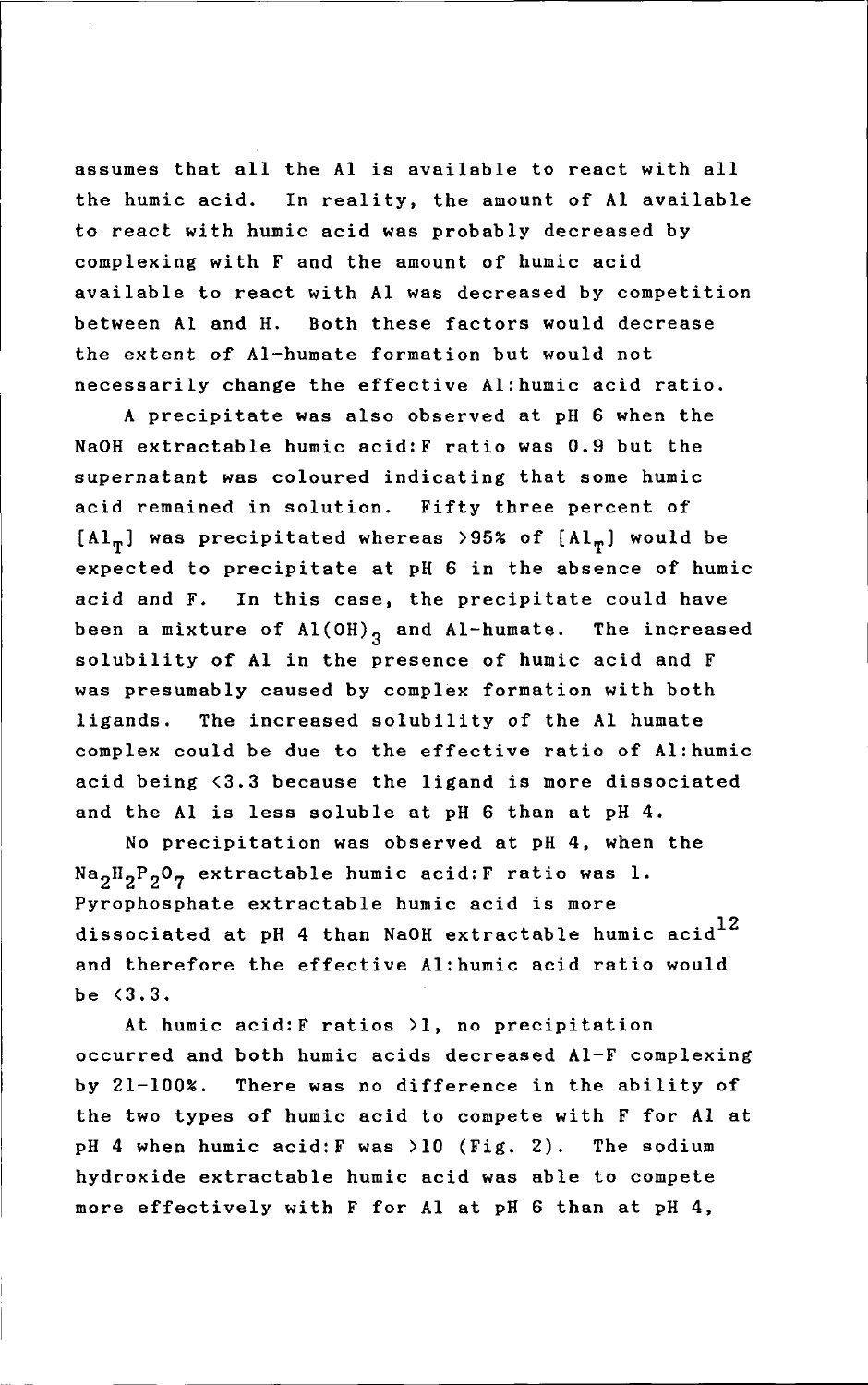to react with humic acid was probably decreased by assumes that all the Al is available to react with all the humic acid. In reality, the amount of Al available complexing with F and the amount of humic acid available to react with Al was decreased by competition between Al and H. Both these factors would decrease the extent of AI-humate formation but would not necessarily change the effective Al:humic acid ratio.

A precipitate was also observed at pH 6 when the NaOH extractable humic acid:F ratio was 0.9 but the supernatant was coloured indicating that some humic acid remained in solution. Fifty three percent of  $[A1_{\eta}]$  was precipitated whereas >95% of  $[A1_{\eta}]$  would be expected to precipitate at pH 6 in the absence of humic acid and F. In this case, the precipitate could have been a mixture of  $\text{Al}(OH)_{2}$  and Al-humate. The increased solubility of Al in the presence of humic acid and F was presumably caused by complex formation with both ligands. The increased solubility of the Al humate complex could be due to the effective ratio of Al:humic acid being <3.3 because the ligand is more dissociated and the Al is less soluble at pH 6 than at pH 4.

No precipitation was observed at pH 4, when the  $Na_2H_2P_2O_7$  extractable humic acid: F ratio was 1. Pyrophosphate extractable humic acid is more dissociated at pH 4 than NaOH extractable humic acid<sup>12</sup> and therefore the effective Al:humic acid ratio would be <3.3.

At humic acid:F ratios >1, no precipitation occurred and both humic acids decreased AI-F complexing by 21-100%. There was no difference in the ability of the two types of humic acid to compete with F for Al at pH 4 when humic acid:F was >10 (Fig. 2). The sodium hydroxide extractable humic acid was able to compete more effectively with F for Al at pH 6 than at pH 4,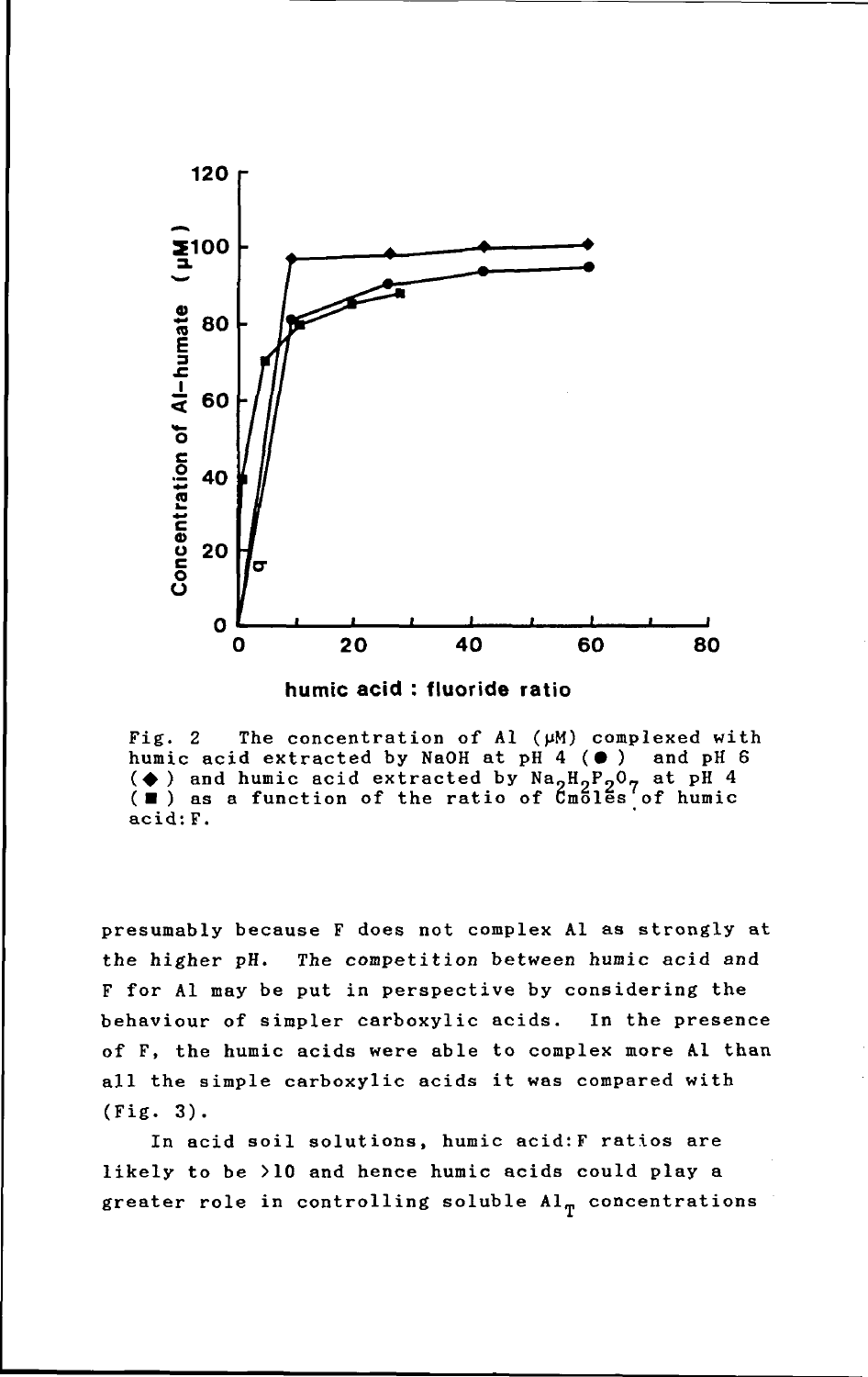

**humic acid : fluoride ratio** 

Fig. 2 The concentration of Al ( $\mu$ M) complexed with humic acid extracted by NaOH at pH 4 ( $\bullet$ ) and pH 6 humic acid extracted by NaOH at  $pH$  4  $(\bullet)$ humic acid extracted by NaOH at pH 4 ( $\bullet$ ) and pH 4 ( $\bullet$ ) and humic acid extracted by Na<sub>2</sub>H<sub>2</sub>P<sub>2</sub>O<sub>7</sub> at pH 4 ( $\blacksquare$ ) as a function of the ratio of Cmoles of humic acid: F.

presumably because F does not complex Al as strongly at the higher pH. The competition between humic acid and F for Al may be put in perspective by considering the behaviour of simpler carboxylic acids. In the presence of F, the humic acids were able to complex more Al than all the simple carboxylic acids it was compared with (Fig. 3).

In acid soil solutions, humic acid:F ratios are likely to be >10 and hence humic acids could play a greater role in controlling soluble  $Al_{\eta}$  concentrations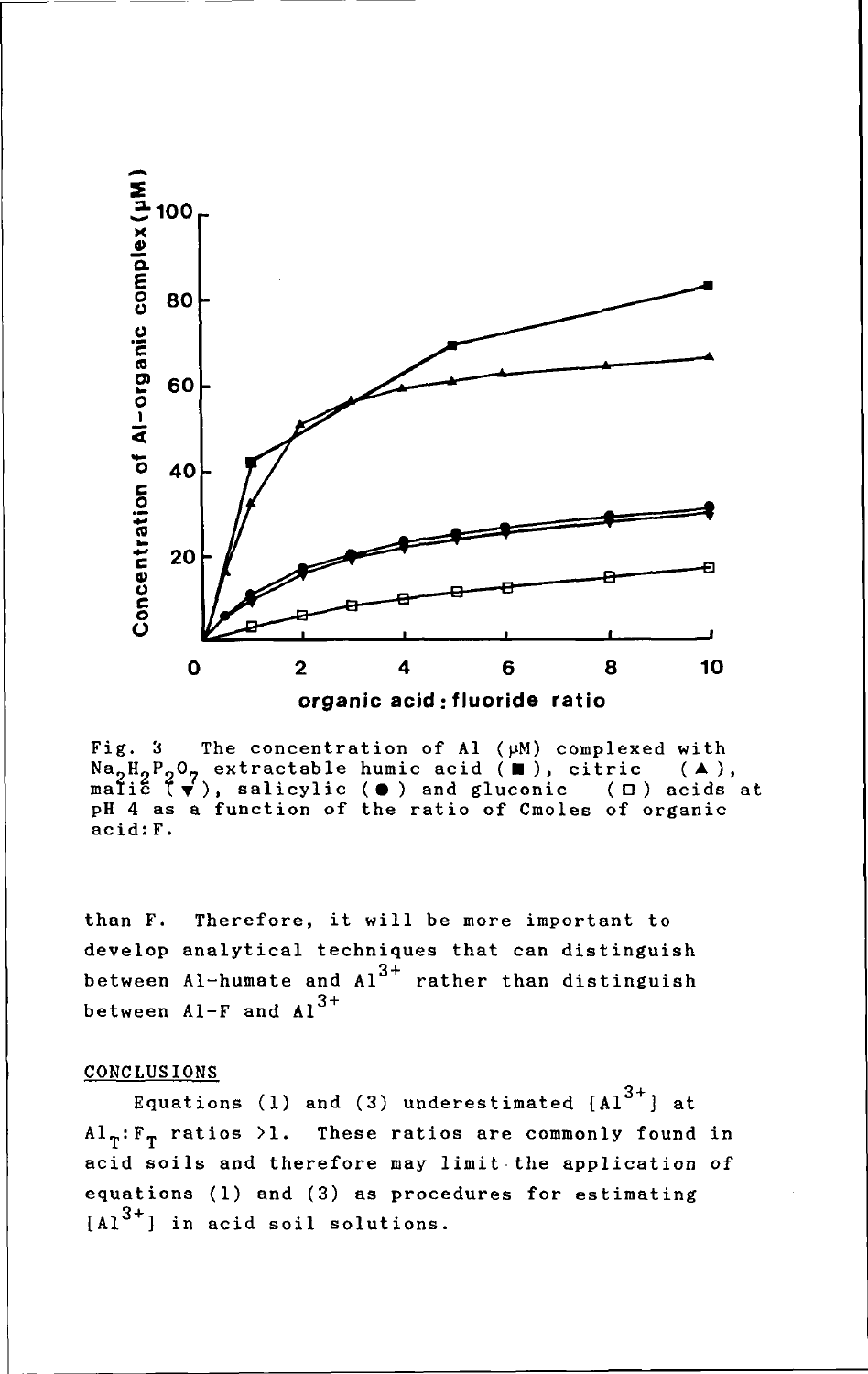

Fig. 3 The concentration of Al ( $\mu$ M) complexed with  $Na_2H_2P_2O_7$  extractable humic acid ( $\blacksquare$ ), citric ( $\blacktriangle$ ),  $\texttt{MapF}_2\texttt{O}_7$  extractable humic acid ( $\blacksquare$ ), citric ( $\blacktriangle$ ), salicylic ( $\Theta$ ) and gluconic ( $\Box$ ) acids at pH 4 as a function of the ratio of Cmoles of organic acid:F.

than F. Therefore, it will be more important to develop analytical techniques that can distinguish between Al-humate and  $Al^{3+}$  rather than distinguish between  $A1-F$  and  $A1^{3+}$ 

#### CONCLUSIONS

Equations (1) and (3) underestimated  $[A]$ <sup>3+</sup>] at  $Al_{\pi}:\mathbb{F}_{\pi}$  ratios >1. These ratios are commonly found in acid soils and therefore may limit-the application of equations (1) and (3) as procedures for estimating  $[A1^{3+}]$  in acid soil solutions.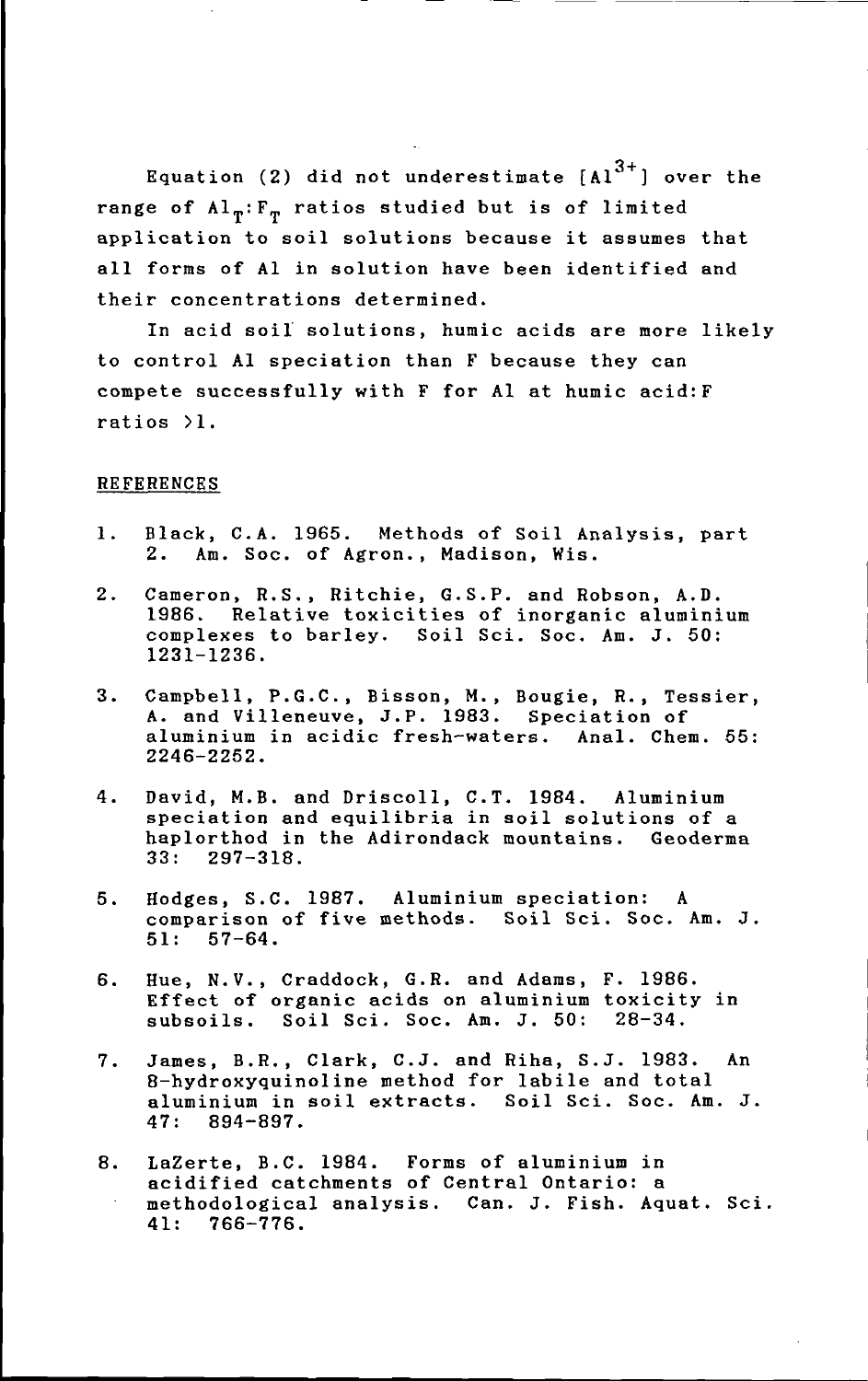Equation (2) did not underestimate  $[A1^{3+}]$  over the range of  $Al_{\eta}$ :  $F_{\eta}$  ratios studied but is of limited application to soil solutions because it assumes that all forms of Al in solution have been identified and their concentrations determined.

In acid soil solutions, humic acids are more likely to control Al speciation than F because they can compete successfully with F for Al at humic acid:F ratios >1.

### **REFERENCES**

- 1. Black, C.A. 1965. Methods of Soil Analysis, part 2. Am. Soc. of Agron., Madison, Wis.
- 2. Cameron, R.S., Ritchie, G.S.P. and Robson, A.D. 1986. Relative toxicities of inorganic aluminium complexes to barley. Soil Sci. Soc. Am. J. 50: 1231-1236.
- 3. Campbell, P.G.C., Bisson, M., Bougie, R., Tessier, A. and Villeneuve, J.P. 1983. Speciation of aluminium in acidic fresh-waters. Anal. Chem. 55: 2246-2252.
- 4. David, M.B. and Driscoll, C.T. 1984. Aluminium speciation and equilibria in soil solutions of a haplorthod in the Adirondack mountains. Geoderma 33: 297-318.
- 5. Hodges, S.C. 1987. Aluminium speciation: comparison of five methods. Soil Sci. Soc. Am. J. 51: 57-64.
- 6. Hue, N.V., Craddock, G.R. and Adams, F. 1986. Effect of organic acids on aluminium toxicity in subsoils. Soil Sci. Soc. Am. J. 50: 28-34.
- 7. James, B.R., Clark, C.J. and Riha, S.J. 1983. An 8-hydroxyquinoline method for labile and total aluminium in soil extracts. Soil Sci. Soc. Am. J. 47: 894-897.
- 8. LaZerte, B.C. 1984. Forms of aluminium in acidified catchments of Central Ontario: a methodological analysis. Can. J. Fish. Aquat. Sci. 41: 766-776.